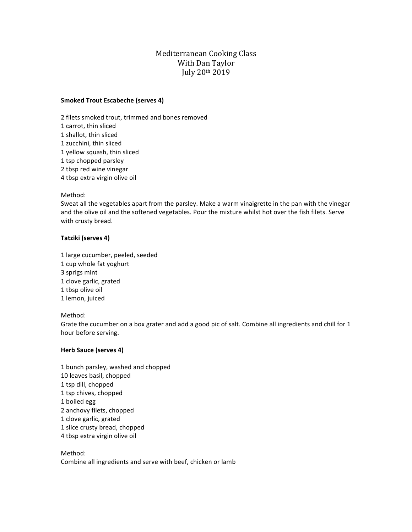# Mediterranean Cooking Class With Dan Taylor July 20th 2019

#### **Smoked Trout Escabeche (serves 4)**

2 filets smoked trout, trimmed and bones removed 1 carrot, thin sliced 1 shallot, thin sliced 1 zucchini, thin sliced 1 yellow squash, thin sliced 1 tsp chopped parsley 2 tbsp red wine vinegar 4 tbsp extra virgin olive oil

#### Method:

Sweat all the vegetables apart from the parsley. Make a warm vinaigrette in the pan with the vinegar and the olive oil and the softened vegetables. Pour the mixture whilst hot over the fish filets. Serve with crusty bread.

## **Tatziki (serves 4)**

1 large cucumber, peeled, seeded

- 1 cup whole fat yoghurt
- 3 sprigs mint
- 1 clove garlic, grated
- 1 tbsp olive oil
- 1 lemon, juiced

## Method:

Grate the cucumber on a box grater and add a good pic of salt. Combine all ingredients and chill for 1 hour before serving.

## **Herb Sauce (serves 4)**

1 bunch parsley, washed and chopped 10 leaves basil, chopped 1 tsp dill, chopped 1 tsp chives, chopped 1 boiled egg 2 anchovy filets, chopped 1 clove garlic, grated 1 slice crusty bread, chopped 4 tbsp extra virgin olive oil

## Method:

Combine all ingredients and serve with beef, chicken or lamb